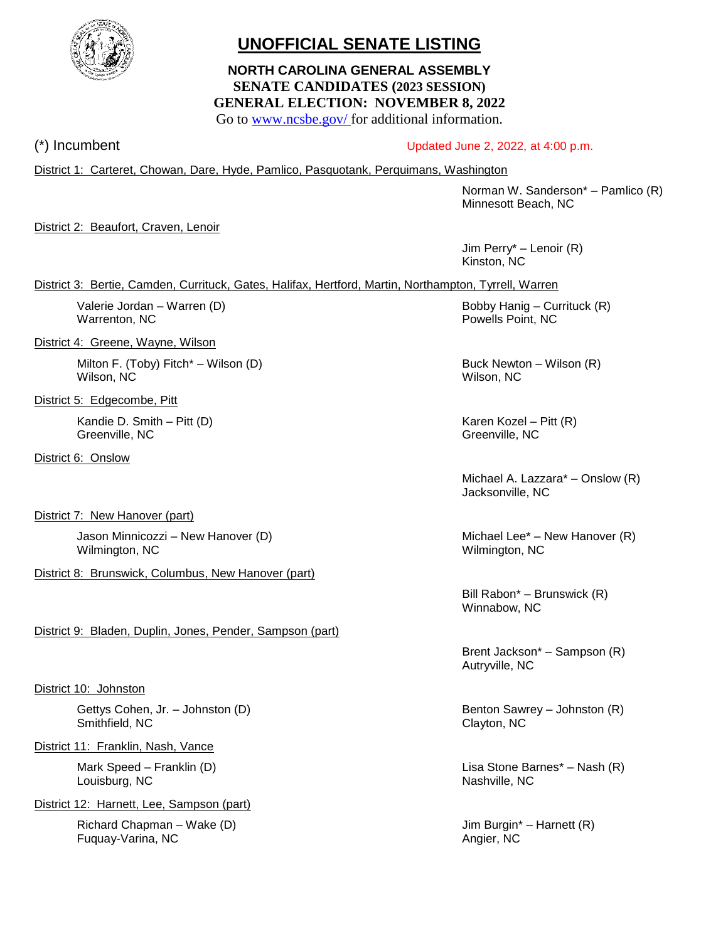

# **UNOFFICIAL SENATE LISTING**

# **NORTH CAROLINA GENERAL ASSEMBLY SENATE CANDIDATES (2023 SESSION) GENERAL ELECTION: NOVEMBER 8, 2022**

Go to [www.ncsbe.gov/](http://www.ncsbe.gov/) for additional information.

# (\*) Incumbent Updated June 2, 2022, at 4:00 p.m.

District 1: Carteret, Chowan, Dare, Hyde, Pamlico, Pasquotank, Perquimans, Washington

Norman W. Sanderson\* – Pamlico (R) Minnesott Beach, NC

District 2: Beaufort, Craven, Lenoir

Jim Perry\* – Lenoir (R) Kinston, NC

District 3: Bertie, Camden, Currituck, Gates, Halifax, Hertford, Martin, Northampton, Tyrrell, Warren

Warrenton, NC **Powells Point, NC** 

District 4: Greene, Wayne, Wilson

Milton F. (Toby) Fitch<sup>\*</sup> – Wilson (D) Buck Newton – Wilson (R) Wilson, NC Wilson, NC

District 5: Edgecombe, Pitt

Kandie D. Smith – Pitt (D) Karen Kozel – Pitt (R) Greenville, NC Greenville, NC

District 6: Onslow

District 7: New Hanover (part)

Jason Minnicozzi – New Hanover (D) and the Michael Lee<sup>\*</sup> – New Hanover (R) Wilmington, NC Wilmington, NC

District 8: Brunswick, Columbus, New Hanover (part)

District 9: Bladen, Duplin, Jones, Pender, Sampson (part)

District 10: Johnston

Gettys Cohen, Jr. – Johnston (D) Gettys Cohen, Jr. – Johnston (R) Smithfield, NC Clayton, NC Clayton, NC

District 11: Franklin, Nash, Vance

Louisburg, NC Nashville, NC Nashville, NC

District 12: Harnett, Lee, Sampson (part)

Richard Chapman – Wake (D)  $\qquad \qquad$  Jim Burgin\* – Harnett (R) Fuquay-Varina, NC Angier, NC Angier, NC

Valerie Jordan – Warren (D) and Bobby Hanig – Currituck (R) Bobby Hanig – Currituck (R)

Michael A. Lazzara\* – Onslow (R) Jacksonville, NC

Bill Rabon\* – Brunswick (R) Winnabow, NC

Brent Jackson\* – Sampson (R) Autryville, NC

Mark Speed – Franklin (D) Lisa Stone Barnes\* – Nash (R)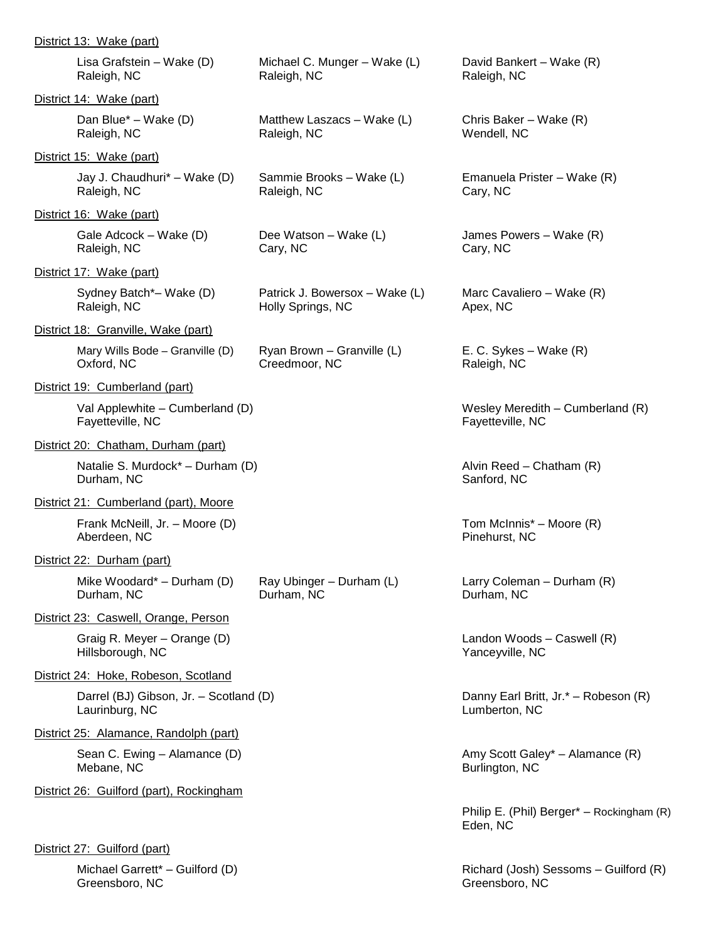| District 13: Wake (part)                                 |                                                     |                                                       |
|----------------------------------------------------------|-----------------------------------------------------|-------------------------------------------------------|
| Lisa Grafstein – Wake (D)<br>Raleigh, NC                 | Michael C. Munger - Wake (L)<br>Raleigh, NC         | David Bankert – Wake (R)<br>Raleigh, NC               |
| District 14: Wake (part)                                 |                                                     |                                                       |
| Dan Blue* – Wake (D)<br>Raleigh, NC                      | Matthew Laszacs - Wake (L)<br>Raleigh, NC           | Chris Baker - Wake (R)<br>Wendell, NC                 |
| District 15: Wake (part)                                 |                                                     |                                                       |
| Jay J. Chaudhuri* - Wake (D)<br>Raleigh, NC              | Sammie Brooks - Wake (L)<br>Raleigh, NC             | Emanuela Prister – Wake (R)<br>Cary, NC               |
| District 16: Wake (part)                                 |                                                     |                                                       |
| Gale Adcock – Wake (D)<br>Raleigh, NC                    | Dee Watson - Wake (L)<br>Cary, NC                   | James Powers – Wake (R)<br>Cary, NC                   |
| District 17: Wake (part)                                 |                                                     |                                                       |
| Sydney Batch*- Wake (D)<br>Raleigh, NC                   | Patrick J. Bowersox - Wake (L)<br>Holly Springs, NC | Marc Cavaliero – Wake (R)<br>Apex, NC                 |
| District 18: Granville, Wake (part)                      |                                                     |                                                       |
| Mary Wills Bode - Granville (D)<br>Oxford, NC            | Ryan Brown - Granville (L)<br>Creedmoor, NC         | E. C. Sykes – Wake $(R)$<br>Raleigh, NC               |
| District 19: Cumberland (part)                           |                                                     |                                                       |
| Val Applewhite – Cumberland (D)<br>Fayetteville, NC      |                                                     | Wesley Meredith - Cumberland (R)<br>Fayetteville, NC  |
| District 20: Chatham, Durham (part)                      |                                                     |                                                       |
| Natalie S. Murdock* - Durham (D)<br>Durham, NC           |                                                     | Alvin Reed - Chatham (R)<br>Sanford, NC               |
| District 21: Cumberland (part), Moore                    |                                                     |                                                       |
| Frank McNeill, Jr. - Moore (D)<br>Aberdeen, NC           |                                                     | Tom McInnis* - Moore (R)<br>Pinehurst, NC             |
| District 22: Durham (part)                               |                                                     |                                                       |
| Mike Woodard* - Durham $(D)$<br>Durham, NC               | Ray Ubinger - Durham (L)<br>Durham, NC              | Larry Coleman - Durham (R)<br>Durham, NC              |
| District 23: Caswell, Orange, Person                     |                                                     |                                                       |
| Graig R. Meyer - Orange (D)<br>Hillsborough, NC          |                                                     | Landon Woods - Caswell (R)<br>Yanceyville, NC         |
| District 24: Hoke, Robeson, Scotland                     |                                                     |                                                       |
| Darrel (BJ) Gibson, Jr. - Scotland (D)<br>Laurinburg, NC |                                                     | Danny Earl Britt, Jr.* - Robeson (R)<br>Lumberton, NC |
| District 25: Alamance, Randolph (part)                   |                                                     |                                                       |
| Sean C. Ewing - Alamance (D)<br>Mebane, NC               |                                                     | Amy Scott Galey* - Alamance (R)<br>Burlington, NC     |
| District 26: Guilford (part), Rockingham                 |                                                     |                                                       |
|                                                          |                                                     | Philip E. (Phil) Berger* - Rockingham (R)<br>Eden, NC |
| District 27: Guilford (part)                             |                                                     |                                                       |
| Michael Garrett* - Guilford (D)                          |                                                     | Richard (Josh) Sessoms - Guilford (R)                 |

Greensboro, NC Greensboro, NC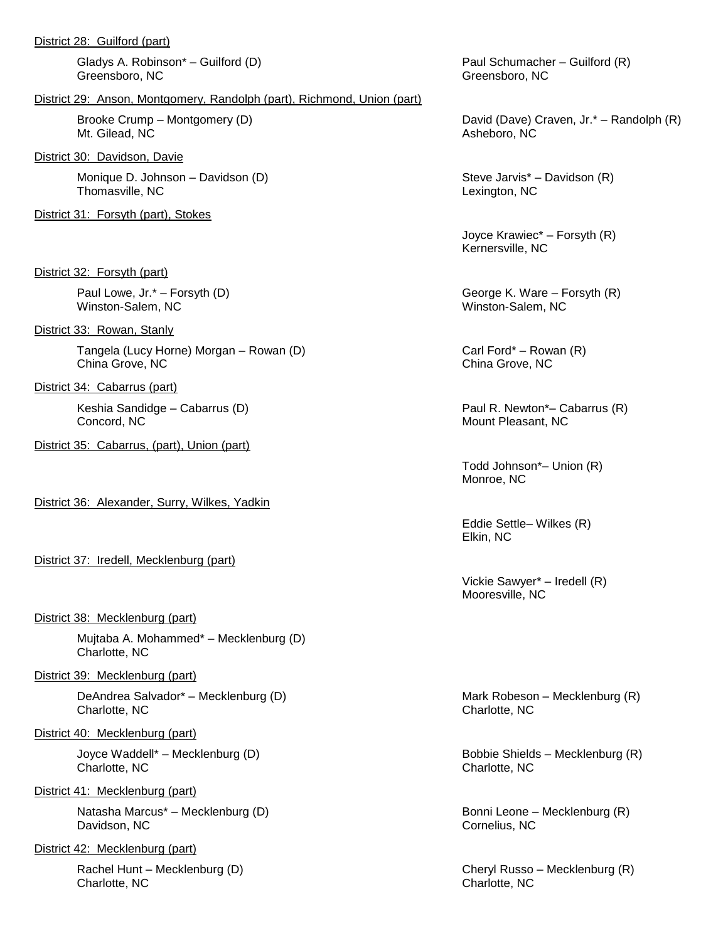Gladys A. Robinson\* – Guilford (D) example a part of the Paul Schumacher – Guilford (R) Greensboro, NC Greensboro, NC Greensboro, NC

#### District 29: Anson, Montgomery, Randolph (part), Richmond, Union (part)

Mt. Gilead, NC Asheboro, NC

District 30: Davidson, Davie

Monique D. Johnson – Davidson (D) Steve Jarvis\* – Davidson (R) Thomasville, NC Lexington, NC Lexington, NC

District 31: Forsyth (part), Stokes

District 32: Forsyth (part)

Winston-Salem, NC Winston-Salem, NC

District 33: Rowan, Stanly

Tangela (Lucy Horne) Morgan – Rowan (D) Carl Ford\* – Rowan (R) China Grove, NC China Grove, NC

District 34: Cabarrus (part)

Keshia Sandidge – Cabarrus (D) et al. 2012 - Paul R. Newton\*– Cabarrus (R) Concord, NC Mount Pleasant, NC

District 35: Cabarrus, (part), Union (part)

District 36: Alexander, Surry, Wilkes, Yadkin

District 37: Iredell, Mecklenburg (part)

#### District 38: Mecklenburg (part)

Mujtaba A. Mohammed\* – Mecklenburg (D) Charlotte, NC

#### District 39: Mecklenburg (part)

DeAndrea Salvador\* – Mecklenburg (D) Mark Robeson – Mecklenburg (R) Charlotte, NC Charlotte, NC Charlotte, NC Charlotte, NC Charlotte, NC Charlotte, NC Charlotte, NC Charlotte, NC

#### District 40: Mecklenburg (part)

Charlotte, NC Charlotte, NC

#### District 41: Mecklenburg (part)

Natasha Marcus<sup>\*</sup> – Mecklenburg (D) and the second of the Bonni Leone – Mecklenburg (R) Davidson, NC Cornelius, NC Cornelius, NC

District 42: Mecklenburg (part)

Charlotte, NC Charlotte, NC Charlotte, NC

Brooke Crump – Montgomery (D) and Cavel Craven, Jr.\* – Randolph (R) David (Dave) Craven, Jr.\* – Randolph (R)

Joyce Krawiec\* – Forsyth (R) Kernersville, NC

Paul Lowe, Jr.\* – Forsyth (D) and Society and Second George K. Ware – Forsyth (R)

Todd Johnson\*– Union (R) Monroe, NC

Eddie Settle– Wilkes (R) Elkin, NC

Vickie Sawyer\* – Iredell (R) Mooresville, NC

Joyce Waddell\* – Mecklenburg (D) Bobbie Shields – Mecklenburg (R)

Rachel Hunt – Mecklenburg (D) Cheryl Russo – Mecklenburg (R)